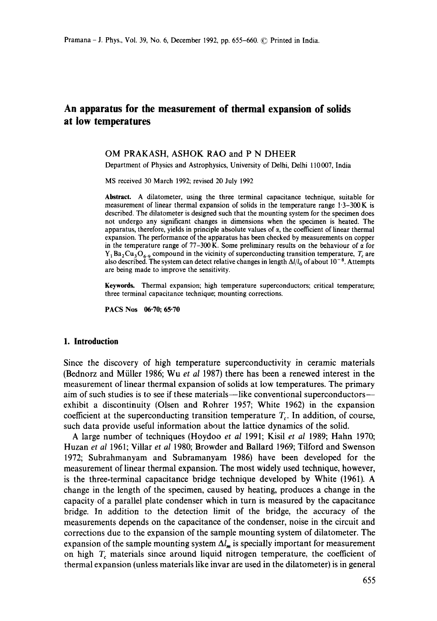# **An apparatus for the measurement of thermal expansion of solids at low temperatures**

### OM PRAKASH, ASHOK RAO and **P N DHEER**

Department of Physics and Astrophysics, University of Delhi, Delhi 110 007, India

MS received 30 March 1992; revised 20 July 1992

Abstract. A dilatometer, using the three terminal capacitance technique, suitable for measurement of linear thermal expansion of solids in the temperature range  $1\text{-}3-300\,\text{K}$  is described. The dilatometer is designed such that the mounting system for the specimen does not undergo any significant changes in dimensions when the specimen is heated. The apparatus, therefore, yields in principle absolute values of  $\alpha$ , the coefficient of linear thermal expansion. The performance of the apparatus has been checked by measurements on copper in the temperature range of  $77-300$  K. Some preliminary results on the behaviour of  $\alpha$  for  $Y_1Ba_2Cu_3O_{6.9}$  compound in the vicinity of superconducting transition temperature, T, are also described. The system can detect relative changes in length  $\Delta l/l_0$  of about  $10^{-8}$ . Attempts are being made to improve the sensitivity.

Keywords. Thermal expansion; high temperature superconductors; critical temperature; three terminal capacitance technique; mounting corrections.

**PACS Nos 06.70; 65"70** 

#### **1. Introduction**

Since the discovery of high temperature superconductivity in ceramic materials (Bednorz and Miiller 1986; Wu *et al* 1987) there has been a renewed interest in the measurement of linear thermal expansion of solids at low temperatures. The primary aim of such studies is to see if these materials—like conventional superconductors exhibit a discontinuity (Olsen and Rohrer 1957; White 1962) in the expansion coefficient at the superconducting transition temperature  $T_c$ . In addition, of course, such data provide useful information about the lattice dynamics of the solid.

A large number of techniques (Hoydoo *et al* 1991; Kisil *et al* 1989; Hahn 1970; Huzan *et al* 1961; Villar et *al* 1980; Browder and Ballard 1969; Tilford and Swenson 1972; Subrahmanyam and Subramanyam 1986) have been developed for the measurement of linear thermal expansion. The most widely used technique, however, is the three-terminal capacitance bridge technique developed by White (1961). A change in the length of the specimen, caused by heating, produces a change in the capacity of a parallel plate condenser which in turn is measured by the capacitance bridge. In addition to the detection limit of the bridge, the accuracy of the measurements depends on the capacitance of the condenser, noise in the circuit and corrections due to the expansion of the sample mounting system of dilatometer. The expansion of the sample mounting system  $\Delta l_m$  is specially important for measurement on high  $T_c$  materials since around liquid nitrogen temperature, the coefficient of thermal expansion (unless materials like invar are used in the dilatometer) is in general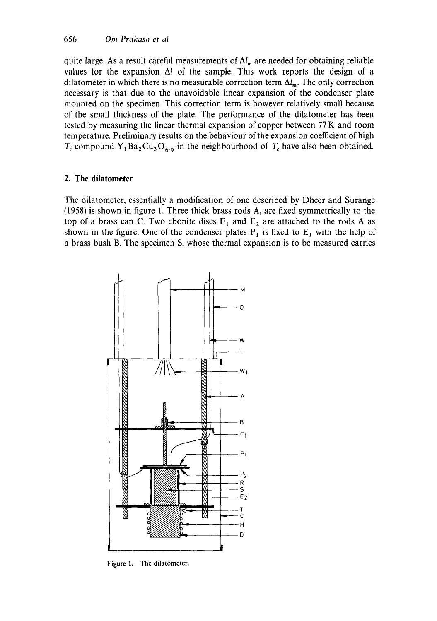quite large. As a result careful measurements of  $\Delta l_m$  are needed for obtaining reliable values for the expansion  $\Delta l$  of the sample. This work reports the design of a dilatometer in which there is no measurable correction term  $\Delta l_m$ . The only correction necessary is that due to the unavoidable linear expansion of the condenser plate mounted on the specimen. This correction term is however relatively small because of the small thickness of the plate. The performance of the dilatometer has been tested by measuring the linear thermal expansion of copper between 77 K and room temperature. Preliminary results on the behaviour of the expansion coefficient of high  $T_c$  compound Y<sub>1</sub>Ba<sub>2</sub>Cu<sub>3</sub>O<sub>6.9</sub> in the neighbourhood of  $T_c$  have also been obtained.

### **2. The dilatometer**

The dilatometer, essentially a modification of one described by Dheer and Surange (1958) is shown in figure 1. Three thick brass rods A, are fixed symmetrically to the top of a brass can C. Two ebonite discs  $E_1$  and  $E_2$  are attached to the rods A as shown in the figure. One of the condenser plates  $P_1$  is fixed to  $E_1$  with the help of a brass bush B. The specimen S, whose thermal expansion is to be measured carries



Figure 1. The dilatometer.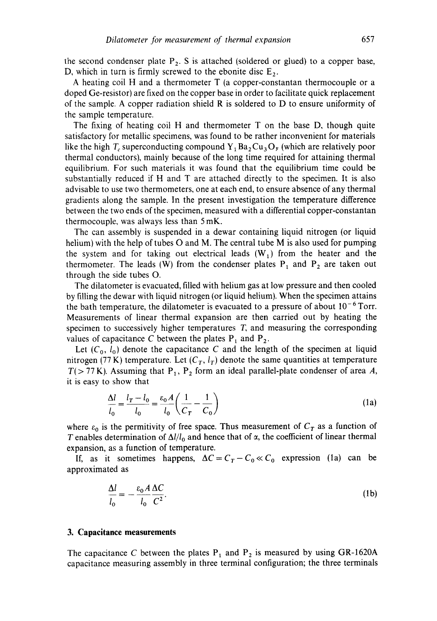the second condenser plate  $P_2$ . S is attached (soldered or glued) to a copper base, D, which in turn is firmly screwed to the ebonite disc  $E_2$ .

A heating coil H and a thermometer T (a copper-constantan thermocouple or a doped Ge-resistor) are fixed on the copper base in order to facilitate quick replacement of the sample. A copper radiation shield R is soldered to D to ensure uniformity of the sample temperature.

The fixing of heating coil H and thermometer T on the base D, though quite satisfactory for metallic specimens, was found to be rather inconvenient for materials like the high  $T_c$  superconducting compound  $Y_1Ba_2Cu_3O_y$  (which are relatively poor thermal conductors), mainly because of the long time required for attaining thermal equilibrium. For such materials it was found that the equilibrium time could be substantially reduced if H and T are attached directly to the specimen. It is also advisable to use two thermometers, one at each end, to ensure absence of any thermal gradients along the sample. In the present investigation the temperature difference between the two ends of the specimen, measured with a differential copper-constantan thermocouple, was always less than 5 mK.

The can assembly is suspended in a dewar containing liquid nitrogen (or liquid helium) with the help of tubes O and M. The central tube M is also used for pumping the system and for taking out electrical leads  $(W_1)$  from the heater and the thermometer. The leads (W) from the condenser plates  $P_1$  and  $P_2$  are taken out through the side tubes O.

The dilatometer is evacuated, filled with helium gas at low pressure and then cooled by filling the dewar with liquid nitrogen (or liquid helium). When the specimen attains the bath temperature, the dilatometer is evacuated to a pressure of about  $10^{-6}$  Torr. Measurements of linear thermal expansion are then carried out by heating the specimen to successively higher temperatures T, and measuring the corresponding values of capacitance C between the plates  $P_1$  and  $P_2$ .

Let  $(C_0, l_0)$  denote the capacitance C and the length of the specimen at liquid nitrogen (77 K) temperature. Let  $(C_T, l_T)$  denote the same quantities at temperature  $T(> 77 \text{ K})$ . Assuming that P<sub>1</sub>, P<sub>2</sub> form an ideal parallel-plate condenser of area A, it is easy to show that

$$
\frac{\Delta l}{l_0} = \frac{l_T - l_0}{l_0} = \frac{\varepsilon_0 A}{l_0} \left( \frac{1}{C_T} - \frac{1}{C_0} \right)
$$
(1a)

where  $\varepsilon_0$  is the permitivity of free space. Thus measurement of  $C_T$  as a function of T enables determination of  $\Delta l/l_0$  and hence that of  $\alpha$ , the coefficient of linear thermal expansion, as a function of temperature.

If, as it sometimes happens,  $\Delta C = C_T - C_0 \ll C_0$  expression (1a) can be approximated as

$$
\frac{\Delta l}{l_0} = -\frac{\varepsilon_0 A}{l_0} \frac{\Delta C}{C^2}.
$$
\n(1b)

#### **3. Capacitance measurements**

The capacitance C between the plates  $P_1$  and  $P_2$  is measured by using GR-1620A capacitance measuring assembly in three terminal configuration; the three terminals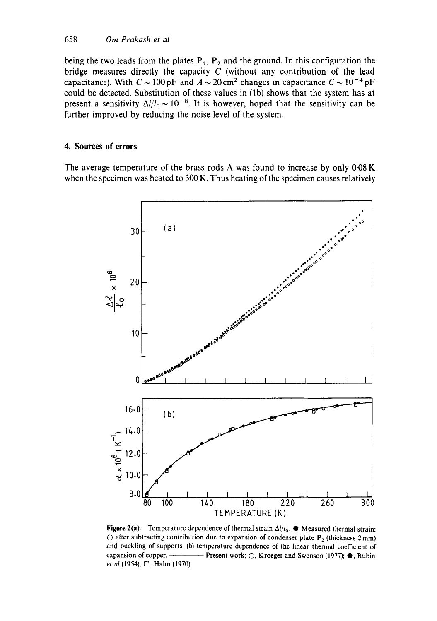being the two leads from the plates  $P_1$ ,  $P_2$  and the ground. In this configuration the bridge measures directly the capacity  $C$  (without any contribution of the lead capacitance). With  $C \sim 100 \,\text{pF}$  and  $A \sim 20 \,\text{cm}^2$  changes in capacitance  $C \sim 10^{-4} \,\text{pF}$ could be detected. Substitution of these values in (1b) shows that the system has at present a sensitivity  $\Delta l/l_0 \sim 10^{-8}$ . It is however, hoped that the sensitivity can be further improved by reducing the noise level of the system.

### 4. Sources of errors

The average temperature of the brass rods A was found to increase by only 0.08 K when the specimen was heated to 300 K. Thus heating of the specimen causes relatively



Figure 2(a). Temperature dependence of thermal strain  $\Delta i / l_0$ .  $\bullet$  Measured thermal strain;  $\circlearrowright$  after subtracting contribution due to expansion of condenser plate P<sub>2</sub> (thickness 2 mm) and buckling of supports. (b) temperature dependence of the linear thermal coefficient of expansion of copper. -- Present work;  $\bigcirc$ , Kroeger and Swenson (1977);  $\bullet$ , Rubin et al (1954);  $\Box$ , Hahn (1970).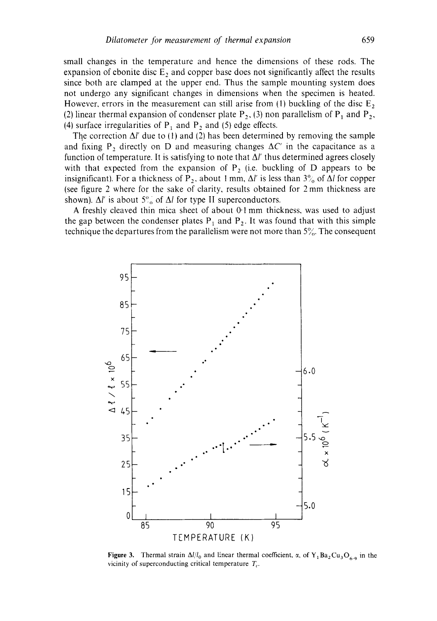**small changes in the temperature and hence the dimensions of these rods. The**  expansion of ebonite disc  $E_2$  and copper base does not significantly affect the results **since both are clamped at the upper end. Thus the sample mounting system does not undergo any significant changes in dimensions when the specimen is heated.**  However, errors in the measurement can still arise from (1) buckling of the disc  $E_2$ (2) linear thermal expansion of condenser plate  $P_2$ , (3) non parallelism of  $P_1$  and  $P_2$ , (4) surface irregularities of  $P_1$  and  $P_2$  and (5) edge effects.

The correction  $\Delta l'$  due to (1) and (2) has been determined by removing the sample and fixing  $P_2$  directly on D and measuring changes  $\Delta C'$  in the capacitance as a function of temperature. It is satisfying to note that  $\Delta l'$  thus determined agrees closely with that expected from the expansion of  $P_2$  (i.e. buckling of  $D$  appears to be insignificant). For a thickness of P<sub>2</sub>, about 1 mm,  $\Delta l'$  is less than  $3\%$  of  $\Delta l$  for copper **(see figure 2 where for the sake of clarity, results obtained for 2 mm thickness are**  shown).  $\Delta l'$  is about  $5\frac{\pi}{6}$  of  $\Delta l$  for type II superconductors.

**A freshly cleaved thin mica sheet of about 0.1 mm thickness, was used to adjust**  the gap between the condenser plates  $P_1$  and  $P_2$ . It was found that with this simple technique the departures from the parallelism were not more than  $5\%$ . The consequent



**Figure 3.** Thermal strain  $\Delta l/l_0$  and linear thermal coefficient,  $\alpha$ , of  $Y_1Ba_2Cu_3O_{6.9}$  in the vicinity of superconducting critical temperature  $T_c$ .